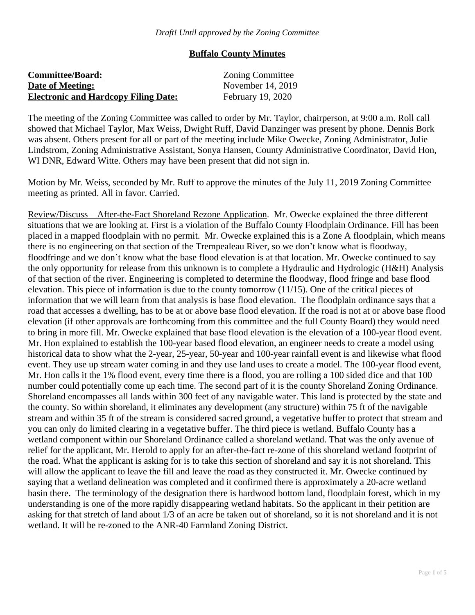# **Buffalo County Minutes**

| <b>Committee/Board:</b>                     | <b>Zoning Committee</b> |
|---------------------------------------------|-------------------------|
| <b>Date of Meeting:</b>                     | November 14, 2019       |
| <b>Electronic and Hardcopy Filing Date:</b> | February 19, 2020       |

The meeting of the Zoning Committee was called to order by Mr. Taylor, chairperson, at 9:00 a.m. Roll call showed that Michael Taylor, Max Weiss, Dwight Ruff, David Danzinger was present by phone. Dennis Bork was absent. Others present for all or part of the meeting include Mike Owecke, Zoning Administrator, Julie Lindstrom, Zoning Administrative Assistant, Sonya Hansen, County Administrative Coordinator, David Hon, WI DNR, Edward Witte. Others may have been present that did not sign in.

Motion by Mr. Weiss, seconded by Mr. Ruff to approve the minutes of the July 11, 2019 Zoning Committee meeting as printed. All in favor. Carried.

Review/Discuss – After-the-Fact Shoreland Rezone Application. Mr. Owecke explained the three different situations that we are looking at. First is a violation of the Buffalo County Floodplain Ordinance. Fill has been placed in a mapped floodplain with no permit. Mr. Owecke explained this is a Zone A floodplain, which means there is no engineering on that section of the Trempealeau River, so we don't know what is floodway, floodfringe and we don't know what the base flood elevation is at that location. Mr. Owecke continued to say the only opportunity for release from this unknown is to complete a Hydraulic and Hydrologic (H&H) Analysis of that section of the river. Engineering is completed to determine the floodway, flood fringe and base flood elevation. This piece of information is due to the county tomorrow (11/15). One of the critical pieces of information that we will learn from that analysis is base flood elevation. The floodplain ordinance says that a road that accesses a dwelling, has to be at or above base flood elevation. If the road is not at or above base flood elevation (if other approvals are forthcoming from this committee and the full County Board) they would need to bring in more fill. Mr. Owecke explained that base flood elevation is the elevation of a 100-year flood event. Mr. Hon explained to establish the 100-year based flood elevation, an engineer needs to create a model using historical data to show what the 2-year, 25-year, 50-year and 100-year rainfall event is and likewise what flood event. They use up stream water coming in and they use land uses to create a model. The 100-year flood event, Mr. Hon calls it the 1% flood event, every time there is a flood, you are rolling a 100 sided dice and that 100 number could potentially come up each time. The second part of it is the county Shoreland Zoning Ordinance. Shoreland encompasses all lands within 300 feet of any navigable water. This land is protected by the state and the county. So within shoreland, it eliminates any development (any structure) within 75 ft of the navigable stream and within 35 ft of the stream is considered sacred ground, a vegetative buffer to protect that stream and you can only do limited clearing in a vegetative buffer. The third piece is wetland. Buffalo County has a wetland component within our Shoreland Ordinance called a shoreland wetland. That was the only avenue of relief for the applicant, Mr. Herold to apply for an after-the-fact re-zone of this shoreland wetland footprint of the road. What the applicant is asking for is to take this section of shoreland and say it is not shoreland. This will allow the applicant to leave the fill and leave the road as they constructed it. Mr. Owecke continued by saying that a wetland delineation was completed and it confirmed there is approximately a 20-acre wetland basin there. The terminology of the designation there is hardwood bottom land, floodplain forest, which in my understanding is one of the more rapidly disappearing wetland habitats. So the applicant in their petition are asking for that stretch of land about 1/3 of an acre be taken out of shoreland, so it is not shoreland and it is not wetland. It will be re-zoned to the ANR-40 Farmland Zoning District.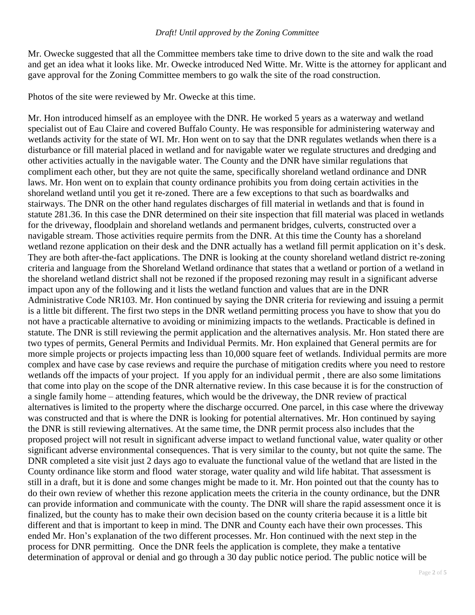Mr. Owecke suggested that all the Committee members take time to drive down to the site and walk the road and get an idea what it looks like. Mr. Owecke introduced Ned Witte. Mr. Witte is the attorney for applicant and gave approval for the Zoning Committee members to go walk the site of the road construction.

Photos of the site were reviewed by Mr. Owecke at this time.

Mr. Hon introduced himself as an employee with the DNR. He worked 5 years as a waterway and wetland specialist out of Eau Claire and covered Buffalo County. He was responsible for administering waterway and wetlands activity for the state of WI. Mr. Hon went on to say that the DNR regulates wetlands when there is a disturbance or fill material placed in wetland and for navigable water we regulate structures and dredging and other activities actually in the navigable water. The County and the DNR have similar regulations that compliment each other, but they are not quite the same, specifically shoreland wetland ordinance and DNR laws. Mr. Hon went on to explain that county ordinance prohibits you from doing certain activities in the shoreland wetland until you get it re-zoned. There are a few exceptions to that such as boardwalks and stairways. The DNR on the other hand regulates discharges of fill material in wetlands and that is found in statute 281.36. In this case the DNR determined on their site inspection that fill material was placed in wetlands for the driveway, floodplain and shoreland wetlands and permanent bridges, culverts, constructed over a navigable stream. Those activities require permits from the DNR. At this time the County has a shoreland wetland rezone application on their desk and the DNR actually has a wetland fill permit application on it's desk. They are both after-the-fact applications. The DNR is looking at the county shoreland wetland district re-zoning criteria and language from the Shoreland Wetland ordinance that states that a wetland or portion of a wetland in the shoreland wetland district shall not be rezoned if the proposed rezoning may result in a significant adverse impact upon any of the following and it lists the wetland function and values that are in the DNR Administrative Code NR103. Mr. Hon continued by saying the DNR criteria for reviewing and issuing a permit is a little bit different. The first two steps in the DNR wetland permitting process you have to show that you do not have a practicable alternative to avoiding or minimizing impacts to the wetlands. Practicable is defined in statute. The DNR is still reviewing the permit application and the alternatives analysis. Mr. Hon stated there are two types of permits, General Permits and Individual Permits. Mr. Hon explained that General permits are for more simple projects or projects impacting less than 10,000 square feet of wetlands. Individual permits are more complex and have case by case reviews and require the purchase of mitigation credits where you need to restore wetlands off the impacts of your project. If you apply for an individual permit , there are also some limitations that come into play on the scope of the DNR alternative review. In this case because it is for the construction of a single family home – attending features, which would be the driveway, the DNR review of practical alternatives is limited to the property where the discharge occurred. One parcel, in this case where the driveway was constructed and that is where the DNR is looking for potential alternatives. Mr. Hon continued by saying the DNR is still reviewing alternatives. At the same time, the DNR permit process also includes that the proposed project will not result in significant adverse impact to wetland functional value, water quality or other significant adverse environmental consequences. That is very similar to the county, but not quite the same. The DNR completed a site visit just 2 days ago to evaluate the functional value of the wetland that are listed in the County ordinance like storm and flood water storage, water quality and wild life habitat. That assessment is still in a draft, but it is done and some changes might be made to it. Mr. Hon pointed out that the county has to do their own review of whether this rezone application meets the criteria in the county ordinance, but the DNR can provide information and communicate with the county. The DNR will share the rapid assessment once it is finalized, but the county has to make their own decision based on the county criteria because it is a little bit different and that is important to keep in mind. The DNR and County each have their own processes. This ended Mr. Hon's explanation of the two different processes. Mr. Hon continued with the next step in the process for DNR permitting. Once the DNR feels the application is complete, they make a tentative determination of approval or denial and go through a 30 day public notice period. The public notice will be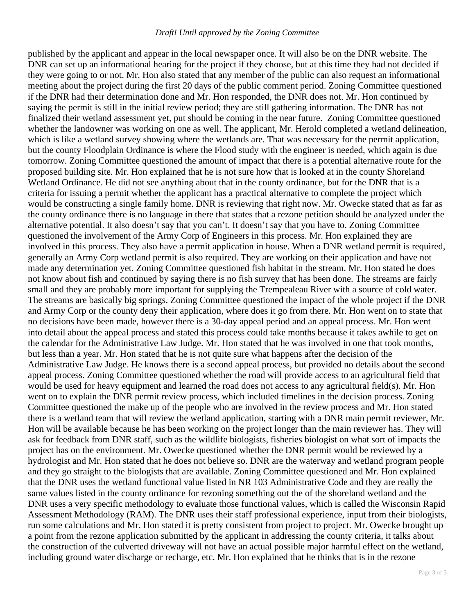#### *Draft! Until approved by the Zoning Committee*

published by the applicant and appear in the local newspaper once. It will also be on the DNR website. The DNR can set up an informational hearing for the project if they choose, but at this time they had not decided if they were going to or not. Mr. Hon also stated that any member of the public can also request an informational meeting about the project during the first 20 days of the public comment period. Zoning Committee questioned if the DNR had their determination done and Mr. Hon responded, the DNR does not. Mr. Hon continued by saying the permit is still in the initial review period; they are still gathering information. The DNR has not finalized their wetland assessment yet, put should be coming in the near future. Zoning Committee questioned whether the landowner was working on one as well. The applicant, Mr. Herold completed a wetland delineation, which is like a wetland survey showing where the wetlands are. That was necessary for the permit application, but the county Floodplain Ordinance is where the Flood study with the engineer is needed, which again is due tomorrow. Zoning Committee questioned the amount of impact that there is a potential alternative route for the proposed building site. Mr. Hon explained that he is not sure how that is looked at in the county Shoreland Wetland Ordinance. He did not see anything about that in the county ordinance, but for the DNR that is a criteria for issuing a permit whether the applicant has a practical alternative to complete the project which would be constructing a single family home. DNR is reviewing that right now. Mr. Owecke stated that as far as the county ordinance there is no language in there that states that a rezone petition should be analyzed under the alternative potential. It also doesn't say that you can't. It doesn't say that you have to. Zoning Committee questioned the involvement of the Army Corp of Engineers in this process. Mr. Hon explained they are involved in this process. They also have a permit application in house. When a DNR wetland permit is required, generally an Army Corp wetland permit is also required. They are working on their application and have not made any determination yet. Zoning Committee questioned fish habitat in the stream. Mr. Hon stated he does not know about fish and continued by saying there is no fish survey that has been done. The streams are fairly small and they are probably more important for supplying the Trempealeau River with a source of cold water. The streams are basically big springs. Zoning Committee questioned the impact of the whole project if the DNR and Army Corp or the county deny their application, where does it go from there. Mr. Hon went on to state that no decisions have been made, however there is a 30-day appeal period and an appeal process. Mr. Hon went into detail about the appeal process and stated this process could take months because it takes awhile to get on the calendar for the Administrative Law Judge. Mr. Hon stated that he was involved in one that took months, but less than a year. Mr. Hon stated that he is not quite sure what happens after the decision of the Administrative Law Judge. He knows there is a second appeal process, but provided no details about the second appeal process. Zoning Committee questioned whether the road will provide access to an agricultural field that would be used for heavy equipment and learned the road does not access to any agricultural field(s). Mr. Hon went on to explain the DNR permit review process, which included timelines in the decision process. Zoning Committee questioned the make up of the people who are involved in the review process and Mr. Hon stated there is a wetland team that will review the wetland application, starting with a DNR main permit reviewer, Mr. Hon will be available because he has been working on the project longer than the main reviewer has. They will ask for feedback from DNR staff, such as the wildlife biologists, fisheries biologist on what sort of impacts the project has on the environment. Mr. Owecke questioned whether the DNR permit would be reviewed by a hydrologist and Mr. Hon stated that he does not believe so. DNR are the waterway and wetland program people and they go straight to the biologists that are available. Zoning Committee questioned and Mr. Hon explained that the DNR uses the wetland functional value listed in NR 103 Administrative Code and they are really the same values listed in the county ordinance for rezoning something out the of the shoreland wetland and the DNR uses a very specific methodology to evaluate those functional values, which is called the Wisconsin Rapid Assessment Methodology (RAM). The DNR uses their staff professional experience, input from their biologists, run some calculations and Mr. Hon stated it is pretty consistent from project to project. Mr. Owecke brought up a point from the rezone application submitted by the applicant in addressing the county criteria, it talks about the construction of the culverted driveway will not have an actual possible major harmful effect on the wetland, including ground water discharge or recharge, etc. Mr. Hon explained that he thinks that is in the rezone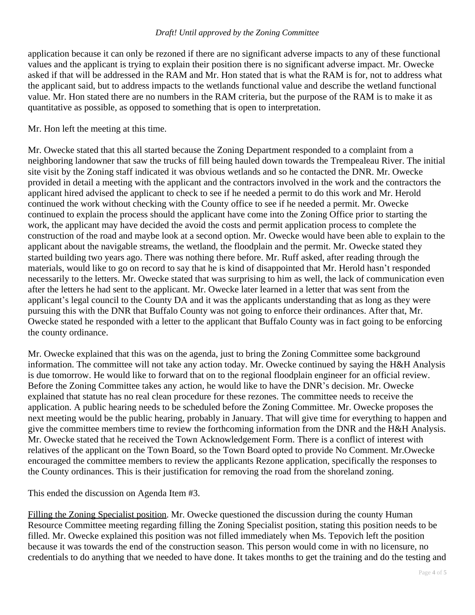#### *Draft! Until approved by the Zoning Committee*

application because it can only be rezoned if there are no significant adverse impacts to any of these functional values and the applicant is trying to explain their position there is no significant adverse impact. Mr. Owecke asked if that will be addressed in the RAM and Mr. Hon stated that is what the RAM is for, not to address what the applicant said, but to address impacts to the wetlands functional value and describe the wetland functional value. Mr. Hon stated there are no numbers in the RAM criteria, but the purpose of the RAM is to make it as quantitative as possible, as opposed to something that is open to interpretation.

## Mr. Hon left the meeting at this time.

Mr. Owecke stated that this all started because the Zoning Department responded to a complaint from a neighboring landowner that saw the trucks of fill being hauled down towards the Trempealeau River. The initial site visit by the Zoning staff indicated it was obvious wetlands and so he contacted the DNR. Mr. Owecke provided in detail a meeting with the applicant and the contractors involved in the work and the contractors the applicant hired advised the applicant to check to see if he needed a permit to do this work and Mr. Herold continued the work without checking with the County office to see if he needed a permit. Mr. Owecke continued to explain the process should the applicant have come into the Zoning Office prior to starting the work, the applicant may have decided the avoid the costs and permit application process to complete the construction of the road and maybe look at a second option. Mr. Owecke would have been able to explain to the applicant about the navigable streams, the wetland, the floodplain and the permit. Mr. Owecke stated they started building two years ago. There was nothing there before. Mr. Ruff asked, after reading through the materials, would like to go on record to say that he is kind of disappointed that Mr. Herold hasn't responded necessarily to the letters. Mr. Owecke stated that was surprising to him as well, the lack of communication even after the letters he had sent to the applicant. Mr. Owecke later learned in a letter that was sent from the applicant's legal council to the County DA and it was the applicants understanding that as long as they were pursuing this with the DNR that Buffalo County was not going to enforce their ordinances. After that, Mr. Owecke stated he responded with a letter to the applicant that Buffalo County was in fact going to be enforcing the county ordinance.

Mr. Owecke explained that this was on the agenda, just to bring the Zoning Committee some background information. The committee will not take any action today. Mr. Owecke continued by saying the H&H Analysis is due tomorrow. He would like to forward that on to the regional floodplain engineer for an official review. Before the Zoning Committee takes any action, he would like to have the DNR's decision. Mr. Owecke explained that statute has no real clean procedure for these rezones. The committee needs to receive the application. A public hearing needs to be scheduled before the Zoning Committee. Mr. Owecke proposes the next meeting would be the public hearing, probably in January. That will give time for everything to happen and give the committee members time to review the forthcoming information from the DNR and the H&H Analysis. Mr. Owecke stated that he received the Town Acknowledgement Form. There is a conflict of interest with relatives of the applicant on the Town Board, so the Town Board opted to provide No Comment. Mr.Owecke encouraged the committee members to review the applicants Rezone application, specifically the responses to the County ordinances. This is their justification for removing the road from the shoreland zoning.

This ended the discussion on Agenda Item #3.

Filling the Zoning Specialist position. Mr. Owecke questioned the discussion during the county Human Resource Committee meeting regarding filling the Zoning Specialist position, stating this position needs to be filled. Mr. Owecke explained this position was not filled immediately when Ms. Tepovich left the position because it was towards the end of the construction season. This person would come in with no licensure, no credentials to do anything that we needed to have done. It takes months to get the training and do the testing and